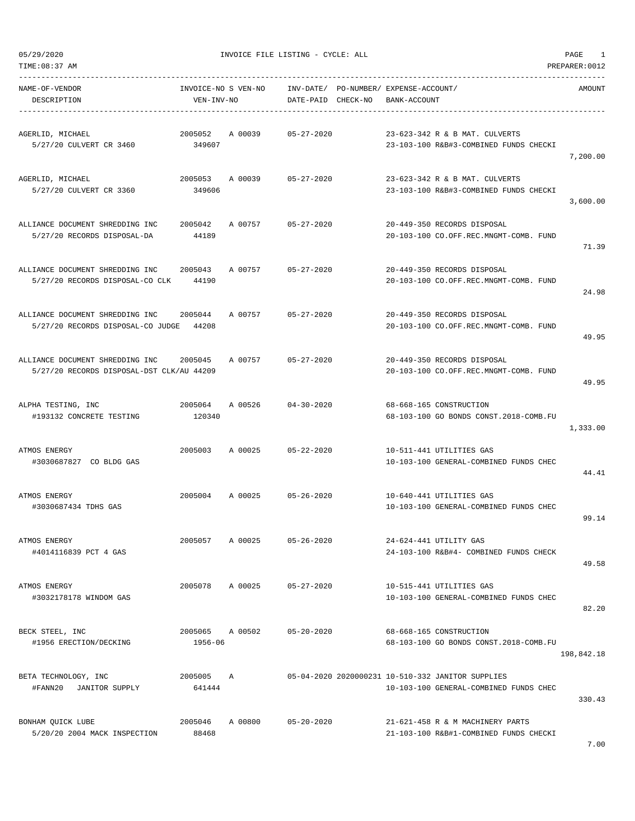TIME:08:37 AM PREPARER:0012

05/29/2020 INVOICE FILE LISTING - CYCLE: ALL PAGE 1

| NAME-OF-VENDOR<br>DESCRIPTION                                                | INVOICE-NO S VEN-NO<br>VEN-INV-NO |         | DATE-PAID CHECK-NO         | INV-DATE/ PO-NUMBER/ EXPENSE-ACCOUNT/<br>BANK-ACCOUNT |                                                                                             | AMOUNT     |
|------------------------------------------------------------------------------|-----------------------------------|---------|----------------------------|-------------------------------------------------------|---------------------------------------------------------------------------------------------|------------|
| AGERLID, MICHAEL<br>5/27/20 CULVERT CR 3460                                  | 2005052<br>349607                 | A 00039 | $05 - 27 - 2020$           |                                                       | 23-623-342 R & B MAT. CULVERTS<br>23-103-100 R&B#3-COMBINED FUNDS CHECKI                    | 7,200.00   |
| AGERLID, MICHAEL<br>5/27/20 CULVERT CR 3360                                  | 2005053<br>349606                 | A 00039 | $05 - 27 - 2020$           |                                                       | 23-623-342 R & B MAT. CULVERTS<br>23-103-100 R&B#3-COMBINED FUNDS CHECKI                    | 3,600.00   |
| ALLIANCE DOCUMENT SHREDDING INC<br>5/27/20 RECORDS DISPOSAL-DA               | 2005042<br>44189                  | A 00757 | $05 - 27 - 2020$           |                                                       | 20-449-350 RECORDS DISPOSAL<br>20-103-100 CO.OFF.REC.MNGMT-COMB. FUND                       | 71.39      |
| ALLIANCE DOCUMENT SHREDDING INC<br>5/27/20 RECORDS DISPOSAL-CO CLK           | 2005043<br>44190                  | A 00757 | $05 - 27 - 2020$           |                                                       | 20-449-350 RECORDS DISPOSAL<br>20-103-100 CO.OFF.REC.MNGMT-COMB. FUND                       | 24.98      |
| ALLIANCE DOCUMENT SHREDDING INC<br>5/27/20 RECORDS DISPOSAL-CO JUDGE 44208   | 2005044                           | A 00757 | $05 - 27 - 2020$           |                                                       | 20-449-350 RECORDS DISPOSAL<br>20-103-100 CO.OFF.REC.MNGMT-COMB. FUND                       | 49.95      |
| ALLIANCE DOCUMENT SHREDDING INC<br>5/27/20 RECORDS DISPOSAL-DST CLK/AU 44209 | 2005045                           | A 00757 | $05 - 27 - 2020$           |                                                       | 20-449-350 RECORDS DISPOSAL<br>20-103-100 CO.OFF.REC.MNGMT-COMB. FUND                       | 49.95      |
| ALPHA TESTING, INC<br>#193132 CONCRETE TESTING                               | 2005064<br>120340                 | A 00526 | $04 - 30 - 2020$           |                                                       | 68-668-165 CONSTRUCTION<br>68-103-100 GO BONDS CONST.2018-COMB.FU                           | 1,333.00   |
| ATMOS ENERGY<br>#3030687827 CO BLDG GAS                                      | 2005003                           | A 00025 | $05 - 22 - 2020$           |                                                       | 10-511-441 UTILITIES GAS<br>10-103-100 GENERAL-COMBINED FUNDS CHEC                          | 44.41      |
| ATMOS ENERGY<br>#3030687434 TDHS GAS                                         |                                   |         | 2005004 A 00025 05-26-2020 |                                                       | 10-640-441 UTILITIES GAS<br>10-103-100 GENERAL-COMBINED FUNDS CHEC                          | 99.14      |
| ATMOS ENERGY<br>#4014116839 PCT 4 GAS                                        | 2005057                           | A 00025 | $05 - 26 - 2020$           |                                                       | 24-624-441 UTILITY GAS<br>24-103-100 R&B#4- COMBINED FUNDS CHECK                            | 49.58      |
| ATMOS ENERGY<br>#3032178178 WINDOM GAS                                       | 2005078                           | A 00025 | $05 - 27 - 2020$           |                                                       | 10-515-441 UTILITIES GAS<br>10-103-100 GENERAL-COMBINED FUNDS CHEC                          | 82.20      |
| BECK STEEL, INC<br>#1956 ERECTION/DECKING                                    | 2005065 A 00502<br>1956-06        |         | $05 - 20 - 2020$           |                                                       | 68-668-165 CONSTRUCTION<br>68-103-100 GO BONDS CONST.2018-COMB.FU                           | 198,842.18 |
| BETA TECHNOLOGY, INC<br>#FANN20<br>JANITOR SUPPLY                            | 2005005<br>641444                 | Α       |                            |                                                       | 05-04-2020 2020000231 10-510-332 JANITOR SUPPLIES<br>10-103-100 GENERAL-COMBINED FUNDS CHEC | 330.43     |
| BONHAM QUICK LUBE<br>5/20/20 2004 MACK INSPECTION                            | 2005046<br>88468                  | A 00800 | $05 - 20 - 2020$           |                                                       | 21-621-458 R & M MACHINERY PARTS<br>21-103-100 R&B#1-COMBINED FUNDS CHECKI                  |            |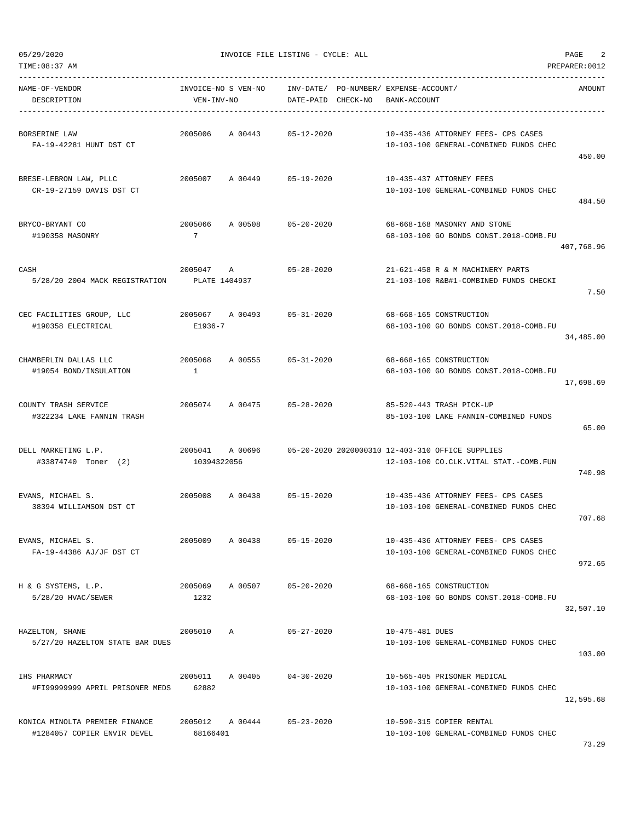| NAME-OF-VENDOR<br>DESCRIPTION                                 | VEN-INV-NO                 |                 | INVOICE-NO S VEN-NO INV-DATE/ PO-NUMBER/ EXPENSE-ACCOUNT/<br>DATE-PAID CHECK-NO | BANK-ACCOUNT    |                                                                               | AMOUNT     |
|---------------------------------------------------------------|----------------------------|-----------------|---------------------------------------------------------------------------------|-----------------|-------------------------------------------------------------------------------|------------|
| BORSERINE LAW<br>FA-19-42281 HUNT DST CT                      |                            | 2005006 A 00443 | 05-12-2020                                                                      |                 | 10-435-436 ATTORNEY FEES- CPS CASES<br>10-103-100 GENERAL-COMBINED FUNDS CHEC | 450.00     |
| BRESE-LEBRON LAW, PLLC<br>CR-19-27159 DAVIS DST CT            |                            |                 | 2005007 A 00449 05-19-2020                                                      |                 | 10-435-437 ATTORNEY FEES<br>10-103-100 GENERAL-COMBINED FUNDS CHEC            | 484.50     |
| BRYCO-BRYANT CO<br>#190358 MASONRY                            | 2005066<br>$\overline{7}$  |                 | A 00508 05-20-2020                                                              |                 | 68-668-168 MASONRY AND STONE<br>68-103-100 GO BONDS CONST.2018-COMB.FU        | 407,768.96 |
| CASH<br>5/28/20 2004 MACK REGISTRATION                        | 2005047 A<br>PLATE 1404937 |                 | $05 - 28 - 2020$                                                                |                 | 21-621-458 R & M MACHINERY PARTS<br>21-103-100 R&B#1-COMBINED FUNDS CHECKI    | 7.50       |
| CEC FACILITIES GROUP, LLC<br>#190358 ELECTRICAL               | E1936-7                    |                 | 2005067 A 00493 05-31-2020                                                      |                 | 68-668-165 CONSTRUCTION<br>68-103-100 GO BONDS CONST.2018-COMB.FU             | 34,485.00  |
| CHAMBERLIN DALLAS LLC<br>#19054 BOND/INSULATION               | $\mathbf{1}$               |                 | 2005068 A 00555 05-31-2020                                                      |                 | 68-668-165 CONSTRUCTION<br>68-103-100 GO BONDS CONST. 2018-COMB. FU           | 17,698.69  |
| COUNTY TRASH SERVICE<br>#322234 LAKE FANNIN TRASH             |                            |                 | 2005074 A 00475 05-28-2020                                                      |                 | 85-520-443 TRASH PICK-UP<br>85-103-100 LAKE FANNIN-COMBINED FUNDS             | 65.00      |
| DELL MARKETING L.P.<br>#33874740 Toner (2)                    | 10394322056                |                 |                                                                                 |                 | 12-103-100 CO.CLK.VITAL STAT.-COMB.FUN                                        | 740.98     |
| EVANS, MICHAEL S.<br>38394 WILLIAMSON DST CT                  |                            |                 | 2005008 A 00438 05-15-2020                                                      |                 | 10-435-436 ATTORNEY FEES- CPS CASES<br>10-103-100 GENERAL-COMBINED FUNDS CHEC | 707.68     |
| EVANS, MICHAEL S.<br>FA-19-44386 AJ/JF DST CT                 | 2005009                    | A 00438         | 05-15-2020                                                                      |                 | 10-435-436 ATTORNEY FEES- CPS CASES<br>10-103-100 GENERAL-COMBINED FUNDS CHEC | 972.65     |
| H & G SYSTEMS, L.P.<br>5/28/20 HVAC/SEWER                     | 2005069<br>1232            |                 | A 00507 05-20-2020                                                              |                 | 68-668-165 CONSTRUCTION<br>68-103-100 GO BONDS CONST. 2018-COMB.FU            | 32,507.10  |
| HAZELTON, SHANE<br>5/27/20 HAZELTON STATE BAR DUES            | 2005010 A                  |                 | $05 - 27 - 2020$                                                                | 10-475-481 DUES | 10-103-100 GENERAL-COMBINED FUNDS CHEC                                        | 103.00     |
| IHS PHARMACY<br>#FI99999999 APRIL PRISONER MEDS 62882         |                            |                 | 2005011 A 00405 04-30-2020                                                      |                 | 10-565-405 PRISONER MEDICAL<br>10-103-100 GENERAL-COMBINED FUNDS CHEC         | 12,595.68  |
| KONICA MINOLTA PREMIER FINANCE<br>#1284057 COPIER ENVIR DEVEL | 68166401                   |                 | 2005012 A 00444 05-23-2020                                                      |                 | 10-590-315 COPIER RENTAL<br>10-103-100 GENERAL-COMBINED FUNDS CHEC            |            |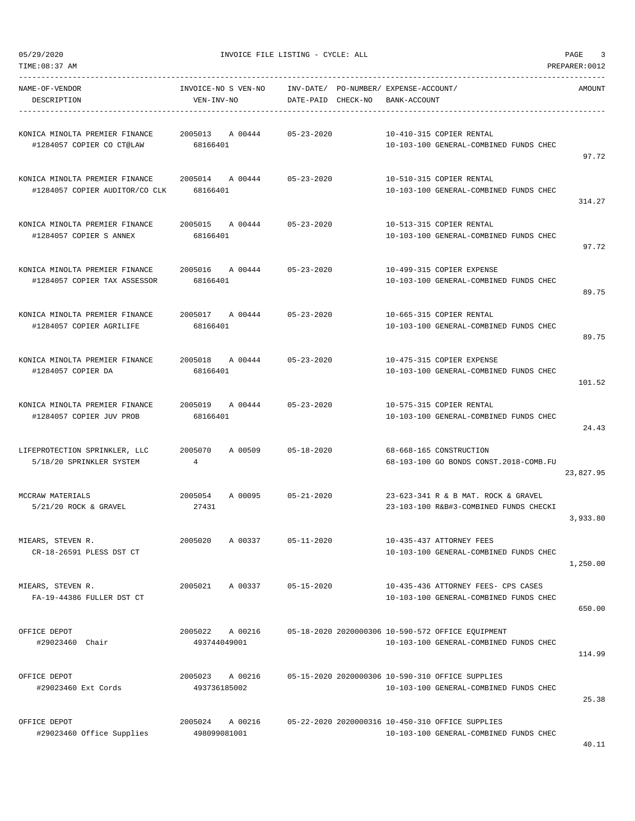| TIME:08:37 AM                                                    |                                        |                                                             |                                                                                             | PREPARER: 0012 |
|------------------------------------------------------------------|----------------------------------------|-------------------------------------------------------------|---------------------------------------------------------------------------------------------|----------------|
| NAME-OF-VENDOR<br>DESCRIPTION                                    | INVOICE-NO S VEN-NO<br>VEN-INV-NO      | INV-DATE/ PO-NUMBER/ EXPENSE-ACCOUNT/<br>DATE-PAID CHECK-NO | BANK-ACCOUNT                                                                                | AMOUNT         |
| KONICA MINOLTA PREMIER FINANCE<br>#1284057 COPIER CO CT@LAW      | 2005013<br>A 00444<br>68166401         | $05 - 23 - 2020$                                            | 10-410-315 COPIER RENTAL<br>10-103-100 GENERAL-COMBINED FUNDS CHEC                          | 97.72          |
| KONICA MINOLTA PREMIER FINANCE<br>#1284057 COPIER AUDITOR/CO CLK | 2005014 A 00444 05-23-2020<br>68166401 |                                                             | 10-510-315 COPIER RENTAL<br>10-103-100 GENERAL-COMBINED FUNDS CHEC                          | 314.27         |
| KONICA MINOLTA PREMIER FINANCE<br>#1284057 COPIER S ANNEX        | 2005015 A 00444<br>68166401            | $05 - 23 - 2020$                                            | 10-513-315 COPIER RENTAL<br>10-103-100 GENERAL-COMBINED FUNDS CHEC                          | 97.72          |
| KONICA MINOLTA PREMIER FINANCE<br>#1284057 COPIER TAX ASSESSOR   | 2005016 A 00444<br>68166401            | $05 - 23 - 2020$                                            | 10-499-315 COPIER EXPENSE<br>10-103-100 GENERAL-COMBINED FUNDS CHEC                         | 89.75          |
| KONICA MINOLTA PREMIER FINANCE<br>#1284057 COPIER AGRILIFE       | 2005017<br>A 00444<br>68166401         | $05 - 23 - 2020$                                            | 10-665-315 COPIER RENTAL<br>10-103-100 GENERAL-COMBINED FUNDS CHEC                          | 89.75          |
| KONICA MINOLTA PREMIER FINANCE<br>#1284057 COPIER DA             | 2005018<br>A 00444<br>68166401         | $05 - 23 - 2020$                                            | 10-475-315 COPIER EXPENSE<br>10-103-100 GENERAL-COMBINED FUNDS CHEC                         | 101.52         |
| KONICA MINOLTA PREMIER FINANCE<br>#1284057 COPIER JUV PROB       | 2005019 A 00444<br>68166401            | $05 - 23 - 2020$                                            | 10-575-315 COPIER RENTAL<br>10-103-100 GENERAL-COMBINED FUNDS CHEC                          | 24.43          |
| LIFEPROTECTION SPRINKLER, LLC<br>5/18/20 SPRINKLER SYSTEM        | 2005070<br>A 00509<br>$\overline{4}$   | $05 - 18 - 2020$                                            | 68-668-165 CONSTRUCTION<br>68-103-100 GO BONDS CONST.2018-COMB.FU                           | 23,827.95      |
| MCCRAW MATERIALS<br>$5/21/20$ ROCK & GRAVEL                      | 2005054<br>A 00095<br>27431            | $05 - 21 - 2020$                                            | 23-623-341 R & B MAT. ROCK & GRAVEL<br>23-103-100 R&B#3-COMBINED FUNDS CHECKI               | 3,933.80       |
| MIEARS, STEVEN R.<br>CR-18-26591 PLESS DST CT                    | 2005020<br>A 00337                     | $05 - 11 - 2020$                                            | 10-435-437 ATTORNEY FEES<br>10-103-100 GENERAL-COMBINED FUNDS CHEC                          | 1,250.00       |
| MIEARS, STEVEN R.<br>FA-19-44386 FULLER DST CT                   | 2005021<br>A 00337                     | $05 - 15 - 2020$                                            | 10-435-436 ATTORNEY FEES- CPS CASES<br>10-103-100 GENERAL-COMBINED FUNDS CHEC               | 650.00         |
| OFFICE DEPOT<br>#29023460 Chair                                  | 2005022<br>A 00216<br>493744049001     |                                                             | 05-18-2020 2020000306 10-590-572 OFFICE EQUIPMENT<br>10-103-100 GENERAL-COMBINED FUNDS CHEC | 114.99         |
| OFFICE DEPOT<br>#29023460 Ext Cords                              | A 00216<br>2005023<br>493736185002     |                                                             | 05-15-2020 2020000306 10-590-310 OFFICE SUPPLIES<br>10-103-100 GENERAL-COMBINED FUNDS CHEC  | 25.38          |
| OFFICE DEPOT<br>#29023460 Office Supplies                        | 2005024<br>A 00216<br>498099081001     |                                                             | 05-22-2020 2020000316 10-450-310 OFFICE SUPPLIES<br>10-103-100 GENERAL-COMBINED FUNDS CHEC  |                |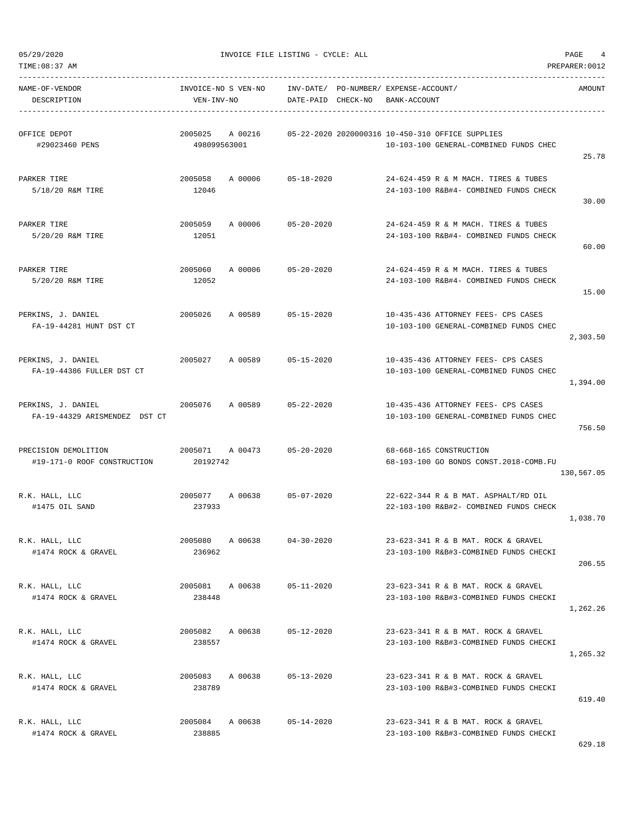TIME:08:37 AM PREPARER:0012 -----------------------------------------------------------------------------------------------------------------------------------

| NAME-OF-VENDOR<br>DESCRIPTION                       | INVOICE-NO S VEN-NO<br>VEN-INV-NO |         | DATE-PAID        | CHECK-NO | INV-DATE/ PO-NUMBER/ EXPENSE-ACCOUNT/<br>BANK-ACCOUNT                                      | AMOUNT     |
|-----------------------------------------------------|-----------------------------------|---------|------------------|----------|--------------------------------------------------------------------------------------------|------------|
| OFFICE DEPOT<br>#29023460 PENS                      | 2005025<br>498099563001           | A 00216 |                  |          | 05-22-2020 2020000316 10-450-310 OFFICE SUPPLIES<br>10-103-100 GENERAL-COMBINED FUNDS CHEC | 25.78      |
| PARKER TIRE<br>5/18/20 R&M TIRE                     | 2005058<br>12046                  | A 00006 | $05 - 18 - 2020$ |          | 24-624-459 R & M MACH. TIRES & TUBES<br>24-103-100 R&B#4- COMBINED FUNDS CHECK             | 30.00      |
| PARKER TIRE<br>5/20/20 R&M TIRE                     | 2005059<br>12051                  | A 00006 | $05 - 20 - 2020$ |          | 24-624-459 R & M MACH. TIRES & TUBES<br>24-103-100 R&B#4- COMBINED FUNDS CHECK             | 60.00      |
| PARKER TIRE<br>5/20/20 R&M TIRE                     | 2005060<br>12052                  | A 00006 | $05 - 20 - 2020$ |          | 24-624-459 R & M MACH. TIRES & TUBES<br>24-103-100 R&B#4- COMBINED FUNDS CHECK             | 15.00      |
| PERKINS, J. DANIEL<br>FA-19-44281 HUNT DST CT       | 2005026                           | A 00589 | $05 - 15 - 2020$ |          | 10-435-436 ATTORNEY FEES- CPS CASES<br>10-103-100 GENERAL-COMBINED FUNDS CHEC              | 2,303.50   |
| PERKINS, J. DANIEL<br>FA-19-44386 FULLER DST CT     | 2005027                           | A 00589 | $05 - 15 - 2020$ |          | 10-435-436 ATTORNEY FEES- CPS CASES<br>10-103-100 GENERAL-COMBINED FUNDS CHEC              | 1,394.00   |
| PERKINS, J. DANIEL<br>FA-19-44329 ARISMENDEZ DST CT | 2005076                           | A 00589 | $05 - 22 - 2020$ |          | 10-435-436 ATTORNEY FEES- CPS CASES<br>10-103-100 GENERAL-COMBINED FUNDS CHEC              | 756.50     |
| PRECISION DEMOLITION<br>#19-171-0 ROOF CONSTRUCTION | 2005071<br>20192742               | A 00473 | $05 - 20 - 2020$ |          | 68-668-165 CONSTRUCTION<br>68-103-100 GO BONDS CONST.2018-COMB.FU                          | 130,567.05 |
| R.K. HALL, LLC<br>#1475 OIL SAND                    | 2005077<br>237933                 | A 00638 | $05 - 07 - 2020$ |          | 22-622-344 R & B MAT. ASPHALT/RD OIL<br>22-103-100 R&B#2- COMBINED FUNDS CHECK             | 1,038.70   |
| R.K. HALL, LLC<br>#1474 ROCK & GRAVEL               | 2005080<br>236962                 | A 00638 | $04 - 30 - 2020$ |          | 23-623-341 R & B MAT. ROCK & GRAVEL<br>23-103-100 R&B#3-COMBINED FUNDS CHECKI              | 206.55     |
| R.K. HALL, LLC<br>#1474 ROCK & GRAVEL               | 2005081<br>238448                 | A 00638 | $05 - 11 - 2020$ |          | 23-623-341 R & B MAT. ROCK & GRAVEL<br>23-103-100 R&B#3-COMBINED FUNDS CHECKI              | 1,262.26   |
| R.K. HALL, LLC<br>#1474 ROCK & GRAVEL               | 2005082<br>238557                 | A 00638 | $05 - 12 - 2020$ |          | 23-623-341 R & B MAT. ROCK & GRAVEL<br>23-103-100 R&B#3-COMBINED FUNDS CHECKI              | 1,265.32   |
| R.K. HALL, LLC<br>#1474 ROCK & GRAVEL               | 2005083 A 00638<br>238789         |         | $05 - 13 - 2020$ |          | 23-623-341 R & B MAT. ROCK & GRAVEL<br>23-103-100 R&B#3-COMBINED FUNDS CHECKI              | 619.40     |
| R.K. HALL, LLC<br>#1474 ROCK & GRAVEL               | 2005084<br>238885                 | A 00638 | 05-14-2020       |          | 23-623-341 R & B MAT. ROCK & GRAVEL<br>23-103-100 R&B#3-COMBINED FUNDS CHECKI              |            |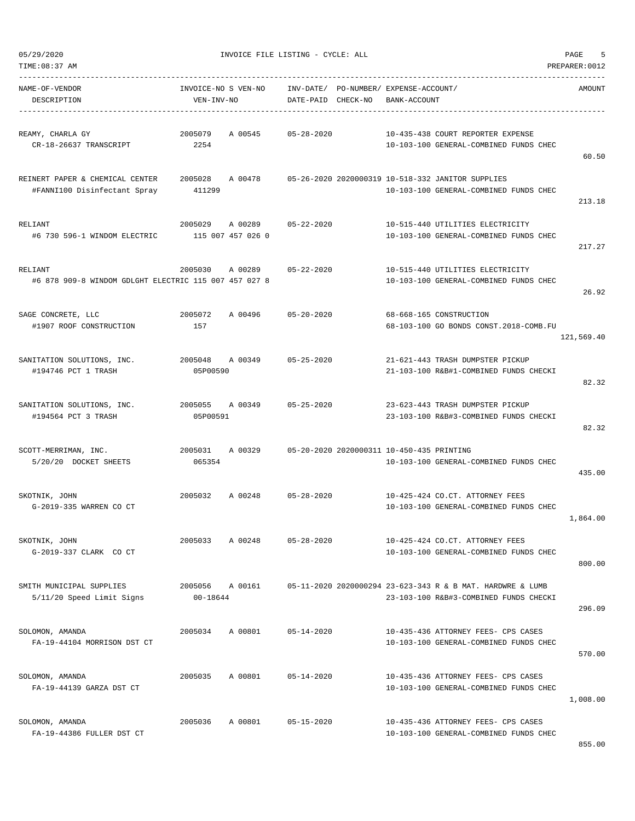| 05/29/2020 |  |
|------------|--|
|            |  |

| NAME-OF-VENDOR<br>DESCRIPTION                                    | INVOICE-NO S VEN-NO<br>VEN-INV-NO |         | DATE-PAID CHECK-NO | INV-DATE/ PO-NUMBER/ EXPENSE-ACCOUNT/<br>BANK-ACCOUNT |                                                                                                      | AMOUNT     |
|------------------------------------------------------------------|-----------------------------------|---------|--------------------|-------------------------------------------------------|------------------------------------------------------------------------------------------------------|------------|
| REAMY, CHARLA GY<br>CR-18-26637 TRANSCRIPT                       | 2005079<br>2254                   | A 00545 | $05 - 28 - 2020$   |                                                       | 10-435-438 COURT REPORTER EXPENSE<br>10-103-100 GENERAL-COMBINED FUNDS CHEC                          | 60.50      |
| REINERT PAPER & CHEMICAL CENTER<br>#FANNI100 Disinfectant Spray  | 2005028<br>411299                 | A 00478 |                    |                                                       | 05-26-2020 2020000319 10-518-332 JANITOR SUPPLIES<br>10-103-100 GENERAL-COMBINED FUNDS CHEC          | 213.18     |
| RELIANT<br>#6 730 596-1 WINDOM ELECTRIC                          | 2005029<br>115 007 457 026 0      | A 00289 | $05 - 22 - 2020$   |                                                       | 10-515-440 UTILITIES ELECTRICITY<br>10-103-100 GENERAL-COMBINED FUNDS CHEC                           | 217.27     |
| RELIANT<br>#6 878 909-8 WINDOM GDLGHT ELECTRIC 115 007 457 027 8 | 2005030                           | A 00289 | $05 - 22 - 2020$   |                                                       | 10-515-440 UTILITIES ELECTRICITY<br>10-103-100 GENERAL-COMBINED FUNDS CHEC                           | 26.92      |
| SAGE CONCRETE, LLC<br>#1907 ROOF CONSTRUCTION                    | 2005072<br>157                    | A 00496 | $05 - 20 - 2020$   |                                                       | 68-668-165 CONSTRUCTION<br>68-103-100 GO BONDS CONST.2018-COMB.FU                                    | 121,569.40 |
| SANITATION SOLUTIONS, INC.<br>#194746 PCT 1 TRASH                | 2005048<br>05P00590               | A 00349 | $05 - 25 - 2020$   |                                                       | 21-621-443 TRASH DUMPSTER PICKUP<br>21-103-100 R&B#1-COMBINED FUNDS CHECKI                           | 82.32      |
| SANITATION SOLUTIONS, INC.<br>#194564 PCT 3 TRASH                | 2005055<br>05P00591               | A 00349 | $05 - 25 - 2020$   |                                                       | 23-623-443 TRASH DUMPSTER PICKUP<br>23-103-100 R&B#3-COMBINED FUNDS CHECKI                           | 82.32      |
| SCOTT-MERRIMAN, INC.<br>5/20/20 DOCKET SHEETS                    | 2005031<br>065354                 | A 00329 |                    | 05-20-2020 2020000311 10-450-435 PRINTING             | 10-103-100 GENERAL-COMBINED FUNDS CHEC                                                               | 435.00     |
| SKOTNIK, JOHN<br>G-2019-335 WARREN CO CT                         | 2005032                           | A 00248 | $05 - 28 - 2020$   |                                                       | 10-425-424 CO.CT. ATTORNEY FEES<br>10-103-100 GENERAL-COMBINED FUNDS CHEC                            | 1,864.00   |
| SKOTNIK, JOHN<br>G-2019-337 CLARK CO CT                          | 2005033                           | A 00248 | $05 - 28 - 2020$   |                                                       | 10-425-424 CO.CT. ATTORNEY FEES<br>10-103-100 GENERAL-COMBINED FUNDS CHEC                            | 800.00     |
| SMITH MUNICIPAL SUPPLIES<br>5/11/20 Speed Limit Signs            | 2005056<br>00-18644               | A 00161 |                    |                                                       | 05-11-2020 2020000294 23-623-343 R & B MAT. HARDWRE & LUMB<br>23-103-100 R&B#3-COMBINED FUNDS CHECKI | 296.09     |
| SOLOMON, AMANDA<br>FA-19-44104 MORRISON DST CT                   | 2005034                           | A 00801 | $05 - 14 - 2020$   |                                                       | 10-435-436 ATTORNEY FEES- CPS CASES<br>10-103-100 GENERAL-COMBINED FUNDS CHEC                        | 570.00     |
| SOLOMON, AMANDA<br>FA-19-44139 GARZA DST CT                      | 2005035                           | A 00801 | $05 - 14 - 2020$   |                                                       | 10-435-436 ATTORNEY FEES- CPS CASES<br>10-103-100 GENERAL-COMBINED FUNDS CHEC                        | 1,008.00   |
| SOLOMON, AMANDA<br>FA-19-44386 FULLER DST CT                     | 2005036                           | A 00801 | $05 - 15 - 2020$   |                                                       | 10-435-436 ATTORNEY FEES- CPS CASES<br>10-103-100 GENERAL-COMBINED FUNDS CHEC                        |            |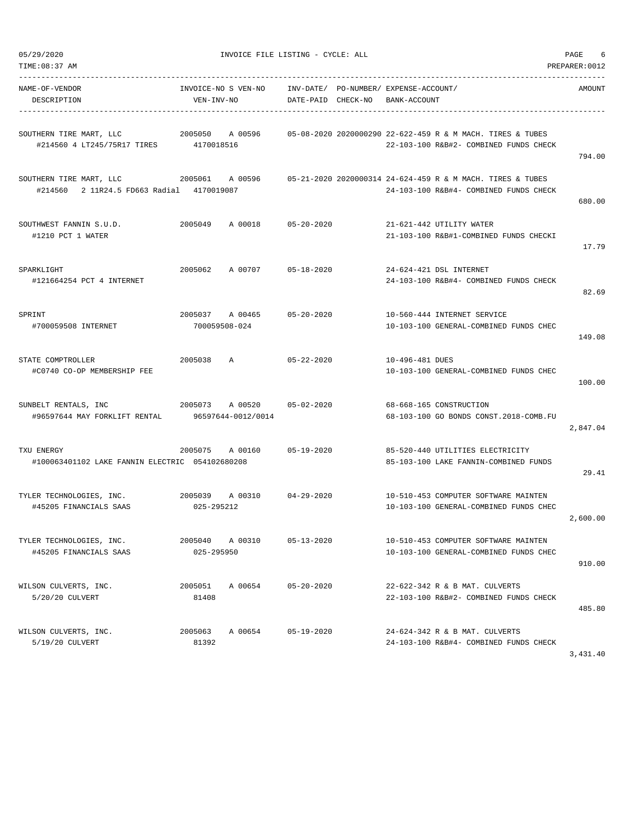| TIME:08:37 AM                                                                   |                                   |                    |                    |                                       |                 |                                                                                                      | PREPARER: 0012 |
|---------------------------------------------------------------------------------|-----------------------------------|--------------------|--------------------|---------------------------------------|-----------------|------------------------------------------------------------------------------------------------------|----------------|
| NAME-OF-VENDOR<br>DESCRIPTION                                                   | INVOICE-NO S VEN-NO<br>VEN-INV-NO |                    | DATE-PAID CHECK-NO | INV-DATE/ PO-NUMBER/ EXPENSE-ACCOUNT/ | BANK-ACCOUNT    |                                                                                                      | AMOUNT         |
| SOUTHERN TIRE MART, LLC<br>#214560 4 LT245/75R17 TIRES 4170018516               | 2005050 A 00596                   |                    |                    |                                       |                 | 05-08-2020 2020000290 22-622-459 R & M MACH. TIRES & TUBES<br>22-103-100 R&B#2- COMBINED FUNDS CHECK | 794.00         |
| 2005061<br>SOUTHERN TIRE MART, LLC<br>#214560 2 11R24.5 FD663 Radial 4170019087 |                                   | A 00596            |                    |                                       |                 | 05-21-2020 2020000314 24-624-459 R & M MACH. TIRES & TUBES<br>24-103-100 R&B#4- COMBINED FUNDS CHECK | 680.00         |
| SOUTHWEST FANNIN S.U.D.<br>#1210 PCT 1 WATER                                    | 2005049                           | A 00018            | $05 - 20 - 2020$   |                                       |                 | 21-621-442 UTILITY WATER<br>21-103-100 R&B#1-COMBINED FUNDS CHECKI                                   | 17.79          |
| <b>SPARKLIGHT</b><br>#121664254 PCT 4 INTERNET                                  | 2005062                           | A 00707            | 05-18-2020         |                                       |                 | 24-624-421 DSL INTERNET<br>24-103-100 R&B#4- COMBINED FUNDS CHECK                                    | 82.69          |
| SPRINT<br>#700059508 INTERNET                                                   | 2005037<br>700059508-024          | A 00465            | $05 - 20 - 2020$   |                                       |                 | 10-560-444 INTERNET SERVICE<br>10-103-100 GENERAL-COMBINED FUNDS CHEC                                | 149.08         |
| STATE COMPTROLLER<br>#C0740 CO-OP MEMBERSHIP FEE                                | 2005038                           | A                  | $05 - 22 - 2020$   |                                       | 10-496-481 DUES | 10-103-100 GENERAL-COMBINED FUNDS CHEC                                                               | 100.00         |
| SUNBELT RENTALS, INC<br>#96597644 MAY FORKLIFT RENTAL                           | 2005073 A 00520                   | 96597644-0012/0014 | 05-02-2020         |                                       |                 | 68-668-165 CONSTRUCTION<br>68-103-100 GO BONDS CONST.2018-COMB.FU                                    | 2,847.04       |
| TXU ENERGY<br>#100063401102 LAKE FANNIN ELECTRIC 054102680208                   | 2005075                           | A 00160            | $05 - 19 - 2020$   |                                       |                 | 85-520-440 UTILITIES ELECTRICITY<br>85-103-100 LAKE FANNIN-COMBINED FUNDS                            | 29.41          |
| TYLER TECHNOLOGIES, INC.<br>#45205 FINANCIALS SAAS                              | 2005039<br>025-295212             | A 00310            | $04 - 29 - 2020$   |                                       |                 | 10-510-453 COMPUTER SOFTWARE MAINTEN<br>10-103-100 GENERAL-COMBINED FUNDS CHEC                       | 2,600.00       |
| TYLER TECHNOLOGIES, INC.<br>#45205 FINANCIALS SAAS                              | 2005040 A 00310<br>025-295950     |                    | $05 - 13 - 2020$   |                                       |                 | 10-510-453 COMPUTER SOFTWARE MAINTEN<br>10-103-100 GENERAL-COMBINED FUNDS CHEC                       | 910.00         |
| WILSON CULVERTS, INC.<br>5/20/20 CULVERT                                        | 2005051<br>81408                  | A 00654            | $05 - 20 - 2020$   |                                       |                 | 22-622-342 R & B MAT. CULVERTS<br>22-103-100 R&B#2- COMBINED FUNDS CHECK                             | 485.80         |
| WILSON CULVERTS, INC.<br>5/19/20 CULVERT                                        | 2005063<br>81392                  | A 00654            | $05 - 19 - 2020$   |                                       |                 | 24-624-342 R & B MAT. CULVERTS<br>24-103-100 R&B#4- COMBINED FUNDS CHECK                             | 3,431.40       |